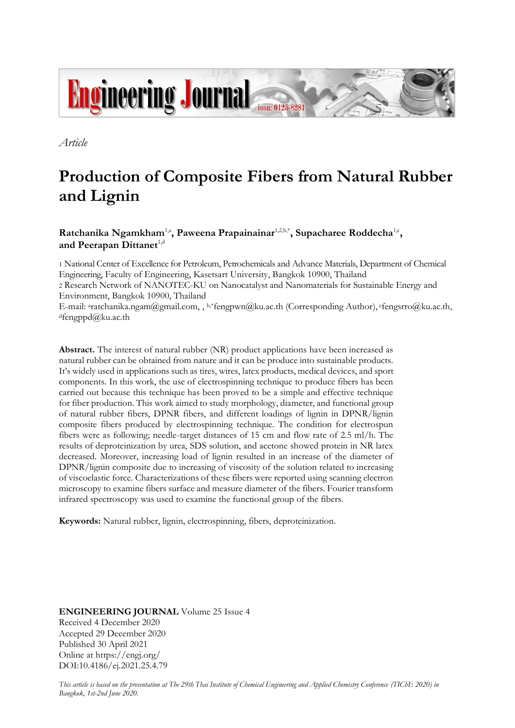

*Article*

 $d$ fengppd $@$ ku.ac.th

# **Production of Composite Fibers from Natural Rubber and Lignin**

# Ratchanika Ngamkham<sup>1,a</sup>, Paweena Prapainainar<sup>1,2,b,\*</sup>, Supacharee Roddecha<sup>1,c</sup>, and Peerapan Dittanet<sup>1,d</sup>

1 National Center of Excellence for Petroleum, Petrochemicals and Advance Materials, Department of Chemical Engineering, Faculty of Engineering, Kasetsart University, Bangkok 10900, Thailand 2 Research Network of NANOTEC-KU on Nanocatalyst and Nanomaterials for Sustainable Energy and Environment, Bangkok 10900, Thailand E-mail: <sup>a</sup>ratchanika.ngam@gmail.com, , b,\*fengpwn@ku.ac.th (Corresponding Author), cfengsrro@ku.ac.th,

**Abstract.** The interest of natural rubber (NR) product applications have been increased as natural rubber can be obtained from nature and it can be produce into sustainable products. It's widely used in applications such as tires, wires, latex products, medical devices, and sport components. In this work, the use of electrospinning technique to produce fibers has been carried out because this technique has been proved to be a simple and effective technique for fiber production. This work aimed to study morphology, diameter, and functional group of natural rubber fibers, DPNR fibers, and different loadings of lignin in DPNR/lignin composite fibers produced by electrospinning technique. The condition for electrospun fibers were as following; needle-target distances of 15 cm and flow rate of 2.5 ml/h. The results of deproteinization by urea, SDS solution, and acetone showed protein in NR latex decreased. Moreover, increasing load of lignin resulted in an increase of the diameter of DPNR/lignin composite due to increasing of viscosity of the solution related to increasing of viscoelastic force. Characterizations of these fibers were reported using scanning electron microscopy to examine fibers surface and measure diameter of the fibers. Fourier transform infrared spectroscopy was used to examine the functional group of the fibers.

**Keywords:** Natural rubber, lignin, electrospinning, fibers, deproteinization.

**ENGINEERING JOURNAL** Volume 25 Issue 4 Received 4 December 2020 Accepted 29 December 2020 Published 30 April 2021 Online at https://engj.org/ DOI:10.4186/ej.2021.25.4.79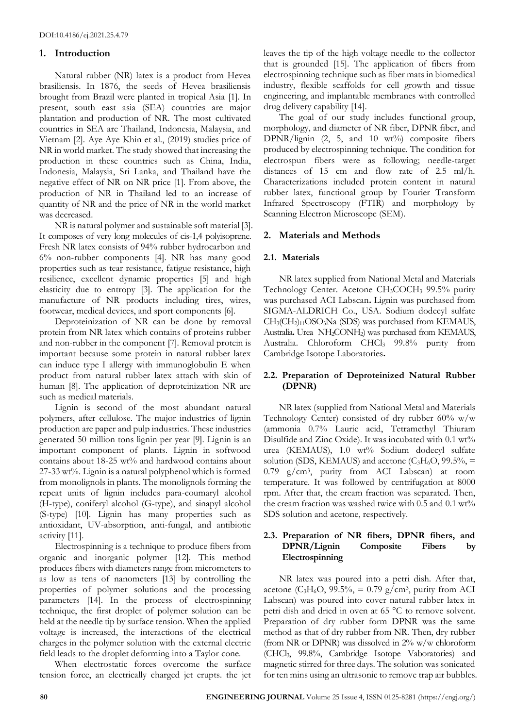# **1. Introduction**

Natural rubber (NR) latex is a product from Hevea brasiliensis. In 1876, the seeds of Hevea brasiliensis brought from Brazil were planted in tropical Asia [1]. In present, south east asia (SEA) countries are major plantation and production of NR. The most cultivated countries in SEA are Thailand, Indonesia, Malaysia, and Vietnam [2]. Aye Aye Khin et al., (2019) studies price of NR in world market. The study showed that increasing the production in these countries such as China, India, Indonesia, Malaysia, Sri Lanka, and Thailand have the negative effect of NR on NR price [1]. From above, the production of NR in Thailand led to an increase of quantity of NR and the price of NR in the world market was decreased.

NR is natural polymer and sustainable soft material [3]. It composes of very long molecules of cis-1,4 polyisoprene. Fresh NR latex consists of 94% rubber hydrocarbon and 6% non-rubber components [4]. NR has many good properties such as tear resistance, fatigue resistance, high resilience, excellent dynamic properties [5] and high elasticity due to entropy [3]. The application for the manufacture of NR products including tires, wires, footwear, medical devices, and sport components [6].

Deproteinization of NR can be done by removal protein from NR latex which contains of proteins rubber and non-rubber in the component [7]. Removal protein is important because some protein in natural rubber latex can induce type I allergy with immunoglobulin E when product from natural rubber latex attach with skin of human [8]. The application of deproteinization NR are such as medical materials.

Lignin is second of the most abundant natural polymers, after cellulose. The major industries of lignin production are paper and pulp industries. These industries generated 50 million tons lignin per year [9]. Lignin is an important component of plants. Lignin in softwood contains about 18-25 wt% and hardwood contains about 27-33 wt%. Lignin is a natural polyphenol which is formed from monolignols in plants. The monolignols forming the repeat units of lignin includes para-coumaryl alcohol (H-type), coniferyl alcohol (G-type), and sinapyl alcohol (S-type) [10]. Lignin has many properties such as antioxidant, UV-absorption, anti-fungal, and antibiotic activity [11].

Electrospinning is a technique to produce fibers from organic and inorganic polymer [12]. This method produces fibers with diameters range from micrometers to as low as tens of nanometers [13] by controlling the properties of polymer solutions and the processing parameters [14]. In the process of electrospinning technique, the first droplet of polymer solution can be held at the needle tip by surface tension. When the applied voltage is increased, the interactions of the electrical charges in the polymer solution with the external electric field leads to the droplet deforming into a Taylor cone.

When electrostatic forces overcome the surface tension force, an electrically charged jet erupts. the jet leaves the tip of the high voltage needle to the collector that is grounded [15]. The application of fibers from electrospinning technique such as fiber mats in biomedical industry, flexible scaffolds for cell growth and tissue engineering, and implantable membranes with controlled drug delivery capability [14].

The goal of our study includes functional group, morphology, and diameter of NR fiber, DPNR fiber, and DPNR/lignin (2, 5, and 10 wt%) composite fibers produced by electrospinning technique. The condition for electrospun fibers were as following; needle-target distances of 15 cm and flow rate of 2.5 ml/h. Characterizations included protein content in natural rubber latex, functional group by Fourier Transform Infrared Spectroscopy (FTIR) and morphology by Scanning Electron Microscope (SEM).

# **2. Materials and Methods**

# **2.1. Materials**

NR latex supplied from National Metal and Materials Technology Center. Acetone CH<sub>3</sub>COCH<sub>3</sub> 99.5% purity was purchased ACI Labscan**.** Lignin was purchased from SIGMA-ALDRICH Co., USA. Sodium dodecyl sulfate CH3(CH2)11OSO3Na (SDS) was purchased from KEMAUS, Australia**.** Urea NH2CONH2) was purchased from KEMAUS, Australia. Chloroform CHCl<sup>3</sup> 99.8% purity from Cambridge Isotope Laboratories**.**

## **2.2. Preparation of Deproteinized Natural Rubber (DPNR)**

NR latex (supplied from National Metal and Materials Technology Center) consisted of dry rubber 60% w/w (ammonia 0.7% Lauric acid, Tetramethyl Thiuram Disulfide and Zinc Oxide). It was incubated with 0.1 wt% urea (KEMAUS), 1.0 wt% Sodium dodecyl sulfate solution (SDS, KEMAUS) and acetone  $(C_3H_6O, 99.5\% =$ 0.79 g/cm<sup>3</sup> , purity from ACI Labscan) at room temperature. It was followed by centrifugation at 8000 rpm. After that, the cream fraction was separated. Then, the cream fraction was washed twice with  $0.5$  and  $0.1$  wt% SDS solution and acetone, respectively.

## **2.3. Preparation of NR fibers, DPNR fibers, and DPNR/Lignin Composite Fibers by Electrospinning**

NR latex was poured into a petri dish. After that, acetone (C<sub>3</sub>H<sub>6</sub>O, 99.5%, = 0.79 g/cm<sup>3</sup>, purity from ACI Labscan) was poured into cover natural rubber latex in petri dish and dried in oven at 65 °C to remove solvent. Preparation of dry rubber form DPNR was the same method as that of dry rubber from NR. Then, dry rubber (from NR or DPNR) was dissolved in 2% w/w chloroform (CHCl3, 99.8%, Cambridge Isotope Vaboratories) and magnetic stirred for three days. The solution was sonicated for ten mins using an ultrasonic to remove trap air bubbles.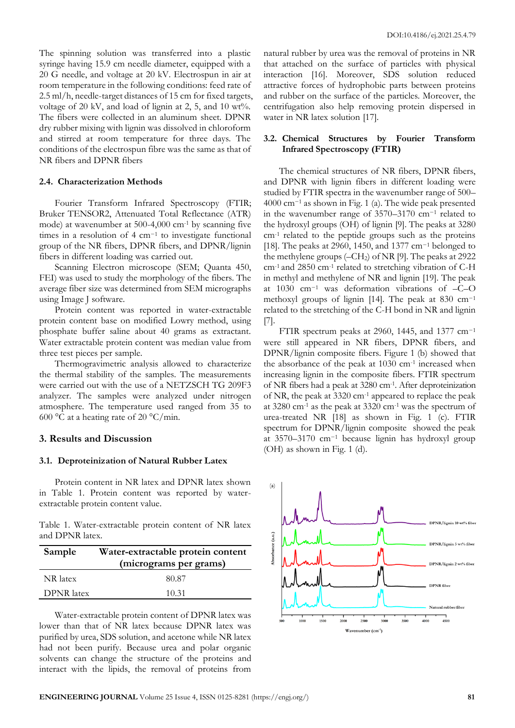The spinning solution was transferred into a plastic syringe having 15.9 cm needle diameter, equipped with a 20 G needle, and voltage at 20 kV. Electrospun in air at room temperature in the following conditions: feed rate of 2.5 ml/h, needle-target distances of 15 cm for fixed targets, voltage of 20 kV, and load of lignin at 2, 5, and 10 wt%. The fibers were collected in an aluminum sheet. DPNR dry rubber mixing with lignin was dissolved in chloroform and stirred at room temperature for three days. The conditions of the electrospun fibre was the same as that of NR fibers and DPNR fibers

#### **2.4. Characterization Methods**

Fourier Transform Infrared Spectroscopy (FTIR; Bruker TENSOR2, Attenuated Total Reflectance (ATR) mode) at wavenumber at 500-4,000 cm-1 by scanning five times in a resolution of 4 cm−<sup>1</sup> to investigate functional group of the NR fibers, DPNR fibers, and DPNR/lignin fibers in different loading was carried out.

Scanning Electron microscope (SEM; Quanta 450, FEI) was used to study the morphology of the fibers. The average fiber size was determined from SEM micrographs using Image J software.

Protein content was reported in water-extractable protein content base on modified Lowry method, using phosphate buffer saline about 40 grams as extractant. Water extractable protein content was median value from three test pieces per sample.

Thermogravimetric analysis allowed to characterize the thermal stability of the samples. The measurements were carried out with the use of a NETZSCH TG 209F3 analyzer. The samples were analyzed under nitrogen atmosphere. The temperature used ranged from 35 to 600 °C at a heating rate of 20 °C/min.

#### **3. Results and Discussion**

#### **3.1. Deproteinization of Natural Rubber Latex**

Protein content in NR latex and DPNR latex shown in Table 1. Protein content was reported by waterextractable protein content value.

Table 1. Water-extractable protein content of NR latex and DPNR latex.

| Sample            | Water-extractable protein content<br>(micrograms per grams) |
|-------------------|-------------------------------------------------------------|
| NR latex          | 80.87                                                       |
| <b>DPNR</b> latex | 10.31                                                       |

Water-extractable protein content of DPNR latex was lower than that of NR latex because DPNR latex was purified by urea, SDS solution, and acetone while NR latex had not been purify. Because urea and polar organic solvents can change the structure of the proteins and interact with the lipids, the removal of proteins from natural rubber by urea was the removal of proteins in NR that attached on the surface of particles with physical interaction [16]. Moreover, SDS solution reduced attractive forces of hydrophobic parts between proteins and rubber on the surface of the particles. Moreover, the centrifugation also help removing protein dispersed in water in NR latex solution [17].

## **3.2. Chemical Structures by Fourier Transform Infrared Spectroscopy (FTIR)**

The chemical structures of NR fibers, DPNR fibers, and DPNR with lignin fibers in different loading were studied by FTIR spectra in the wavenumber range of 500– 4000 cm−<sup>1</sup> as shown in Fig. 1 (a). The wide peak presented in the wavenumber range of 3570–3170 cm−<sup>1</sup> related to the hydroxyl groups (OH) of lignin [9]. The peaks at 3280 cm-1 related to the peptide groups such as the proteins [18]. The peaks at 2960, 1450, and 1377 cm<sup>-1</sup> belonged to the methylene groups  $(-CH<sub>2</sub>)$  of NR [9]. The peaks at 2922 cm-1 and 2850 cm-1 related to stretching vibration of C-H in methyl and methylene of NR and lignin [19]. The peak at 1030 cm−<sup>1</sup> was deformation vibrations of –C–O methoxyl groups of lignin [14]. The peak at 830 cm−<sup>1</sup> related to the stretching of the C-H bond in NR and lignin [7].

FTIR spectrum peaks at 2960, 1445, and 1377 cm<sup>-1</sup> were still appeared in NR fibers, DPNR fibers, and DPNR/lignin composite fibers. Figure 1 (b) showed that the absorbance of the peak at  $1030 \text{ cm}^{-1}$  increased when increasing lignin in the composite fibers. FTIR spectrum of NR fibers had a peak at 3280 cm-1 . After deproteinization of NR, the peak at 3320 cm-1 appeared to replace the peak at 3280 cm-1 as the peak at 3320 cm-1 was the spectrum of urea-treated NR [18] as shown in Fig. 1 (c). FTIR spectrum for DPNR/lignin composite showed the peak at 3570–3170 cm−<sup>1</sup> because lignin has hydroxyl group (OH) as shown in Fig. 1 (d).

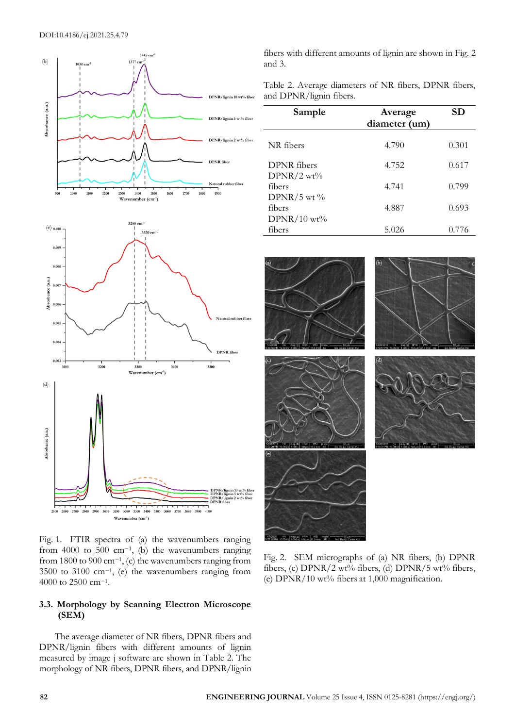



Fig. 1. FTIR spectra of (a) the wavenumbers ranging from 4000 to 500 cm<sup>-1</sup>, (b) the wavenumbers ranging from 1800 to 900 cm−<sup>1</sup> , (c) the wavenumbers ranging from 3500 to 3100 cm−<sup>1</sup> , (e) the wavenumbers ranging from 4000 to 2500 cm−<sup>1</sup> .

# **3.3. Morphology by Scanning Electron Microscope (SEM)**

The average diameter of NR fibers, DPNR fibers and DPNR/lignin fibers with different amounts of lignin measured by image j software are shown in Table 2. The morphology of NR fibers, DPNR fibers, and DPNR/lignin

fibers with different amounts of lignin are shown in Fig. 2 and 3.

Table 2. Average diameters of NR fibers, DPNR fibers, and DPNR/lignin fibers.

| Sample                      | Average<br>diameter (um) | SD    |
|-----------------------------|--------------------------|-------|
| NR fibers                   | 4.790                    | 0.301 |
| DPNR fibers<br>$DPNR/2$ wt% | 4.752                    | 0.617 |
| fibers<br>DPNR/5 wt $\%$    | 4.741                    | 0.799 |
| fibers<br>$DPNR/10$ wt%     | 4.887                    | 0.693 |
| fibers                      | 5.026                    | 0.776 |



Fig. 2. SEM micrographs of (a) NR fibers, (b) DPNR fibers, (c) DPNR/2 wt% fibers, (d) DPNR/5 wt% fibers, (e) DPNR/10 wt% fibers at 1,000 magnification.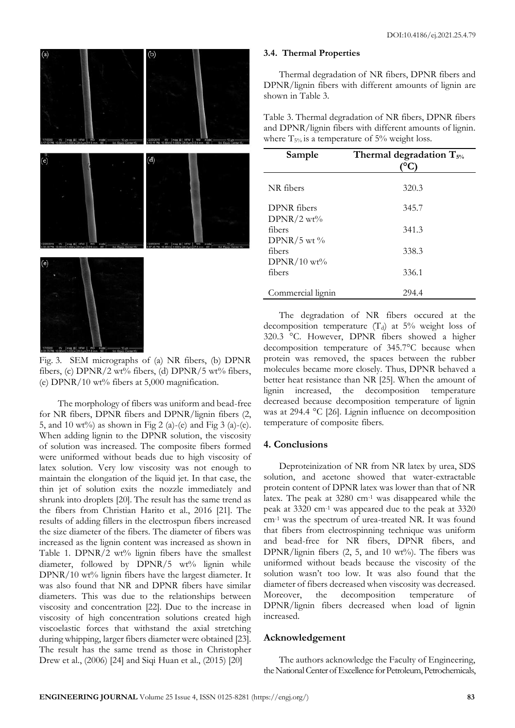

Fig. 3. SEM micrographs of (a) NR fibers, (b) DPNR fibers, (c)  $DPNR/2$  wt% fibers, (d)  $DPNR/5$  wt% fibers, (e) DPNR/10 wt% fibers at 5,000 magnification.

The morphology of fibers was uniform and bead-free for NR fibers, DPNR fibers and DPNR/lignin fibers (2, 5, and 10 wt%) as shown in Fig 2 (a)-(e) and Fig 3 (a)-(e). When adding lignin to the DPNR solution, the viscosity of solution was increased. The composite fibers formed were uniformed without beads due to high viscosity of latex solution. Very low viscosity was not enough to maintain the elongation of the liquid jet. In that case, the thin jet of solution exits the nozzle immediately and shrunk into droplets [20]. The result has the same trend as the fibers from Christian Harito et al., 2016 [21]. The results of adding fillers in the electrospun fibers increased the size diameter of the fibers. The diameter of fibers was increased as the lignin content was increased as shown in Table 1. DPNR/2 wt% lignin fibers have the smallest diameter, followed by DPNR/5 wt% lignin while DPNR/10 wt% lignin fibers have the largest diameter. It was also found that NR and DPNR fibers have similar diameters. This was due to the relationships between viscosity and concentration [22]. Due to the increase in viscosity of high concentration solutions created high viscoelastic forces that withstand the axial stretching during whipping, larger fibers diameter were obtained [23]. The result has the same trend as those in Christopher Drew et al., (2006) [24] and Siqi Huan et al., (2015) [20]

#### **3.4. Thermal Properties**

Thermal degradation of NR fibers, DPNR fibers and DPNR/lignin fibers with different amounts of lignin are shown in Table 3.

Table 3. Thermal degradation of NR fibers, DPNR fibers and DPNR/lignin fibers with different amounts of lignin. where  $T_{5\%}$  is a temperature of 5% weight loss.

| Sample                      | Thermal degradation $T_{5\%}$ |
|-----------------------------|-------------------------------|
| NR fibers                   | 320.3                         |
| DPNR fibers<br>$DPNR/2$ wt% | 345.7                         |
| fibers<br>DPNR/5 wt $\%$    | 341.3                         |
| fibers                      | 338.3                         |
| $DPNR/10$ wt%<br>fibers     | 336.1                         |
| Commercial lignin           | 294.4                         |

The degradation of NR fibers occured at the decomposition temperature  $(T_d)$  at 5% weight loss of 320.3 °C. However, DPNR fibers showed a higher decomposition temperature of 345.7°C because when protein was removed, the spaces between the rubber molecules became more closely. Thus, DPNR behaved a better heat resistance than NR [25]. When the amount of lignin increased, the decomposition temperature decreased because decomposition temperature of lignin was at 294.4 °C [26]. Lignin influence on decomposition temperature of composite fibers.

## **4. Conclusions**

Deproteinization of NR from NR latex by urea, SDS solution, and acetone showed that water-extractable protein content of DPNR latex was lower than that of NR latex. The peak at 3280 cm-1 was disappeared while the peak at 3320 cm-1 was appeared due to the peak at 3320 cm-1 was the spectrum of urea-treated NR. It was found that fibers from electrospinning technique was uniform and bead-free for NR fibers, DPNR fibers, and DPNR/lignin fibers (2, 5, and 10 wt%). The fibers was uniformed without beads because the viscosity of the solution wasn't too low. It was also found that the diameter of fibers decreased when viscosity was decreased. Moreover, the decomposition temperature of DPNR/lignin fibers decreased when load of lignin increased.

## **Acknowledgement**

The authors acknowledge the Faculty of Engineering, the National Center of Excellence for Petroleum, Petrochemicals,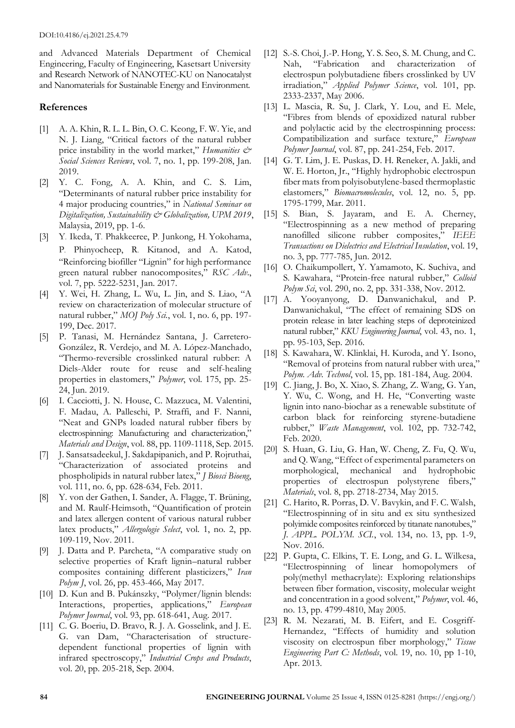and Advanced Materials Department of Chemical Engineering, Faculty of Engineering, Kasetsart University and Research Network of NANOTEC-KU on Nanocatalyst and Nanomaterials for Sustainable Energy and Environment.

# **References**

- [1] A. A. Khin, R. L. L. Bin, O. C. Keong, F. W. Yie, and N. J. Liang, "Critical factors of the natural rubber price instability in the world market," *Humanities & Social Sciences Reviews*, vol. 7, no. 1, pp. 199-208, Jan. 2019.
- [2] Y. C. Fong, A. A. Khin, and C. S. Lim, "Determinants of natural rubber price instability for 4 major producing countries," in *National Seminar on Digitalization, Sustainability & Globalization, UPM 2019*, Malaysia, 2019, pp. 1-6.
- [3] Y. Ikeda, T. Phakkeeree, P. Junkong, H. Yokohama, P. Phinyocheep, R. Kitanod, and A. Katod, "Reinforcing biofiller "Lignin" for high performance green natural rubber nanocomposites," *RSC Adv*., vol. 7, pp. 5222-5231, Jan. 2017.
- [4] Y. Wei, H. Zhang, L. Wu, L. Jin, and S. Liao, "A review on characterization of molecular structure of natural rubber," *MOJ Poly Sci.*, vol. 1, no. 6, pp. 197- 199, Dec. 2017.
- [5] P. Tanasi, M. Hernández Santana, J. Carretero-González, R. Verdejo, and M. A. López-Manchado, "Thermo-reversible crosslinked natural rubber: A Diels-Alder route for reuse and self-healing properties in elastomers," *Polymer*, vol. 175, pp. 25- 24, Jun. 2019.
- [6] I. Cacciotti, J. N. House, C. Mazzuca, M. Valentini, F. Madau, A. Palleschi, P. Straffi, and F. Nanni, "Neat and GNPs loaded natural rubber fibers by electrospinning: Manufacturing and characterization," *Materials and Design*, vol. 88, pp. 1109-1118, Sep. 2015.
- [7] J. Sansatsadeekul, J. Sakdapipanich, and P. Rojruthai, "Characterization of associated proteins and phospholipids in natural rubber latex," *J Biosci Bioeng*, vol. 111, no. 6, pp. 628-634, Feb. 2011.
- [8] Y. von der Gathen, I. Sander, A. Flagge, T. Brüning, and M. Raulf-Heimsoth, "Quantification of protein and latex allergen content of various natural rubber latex products," *Allergologie Select*, vol. 1, no. 2, pp. 109-119, Nov. 2011.
- [9] J. Datta and P. Parcheta, "A comparative study on selective properties of Kraft lignin–natural rubber composites containing different plasticizers," *Iran Polym J*, vol. 26, pp. 453-466, May 2017.
- [10] D. Kun and B. Pukánszky, "Polymer/lignin blends: Interactions, properties, applications," *European Polymer Journal*, vol. 93, pp. 618-641, Aug. 2017.
- [11] C. G. Boeriu, D. Bravo, R. J. A. Gosselink, and J. E. G. van Dam, "Characterisation of structuredependent functional properties of lignin with infrared spectroscopy," *Industrial Crops and Products*, vol. 20, pp. 205-218, Sep. 2004.
- [12] S.-S. Choi, J.-P. Hong, Y. S. Seo, S. M. Chung, and C. Nah, "Fabrication and characterization of electrospun polybutadiene fibers crosslinked by UV irradiation," *Applied Polymer Science*, vol. 101, pp. 2333-2337, May 2006.
- [13] L. Mascia, R. Su, J. Clark, Y. Lou, and E. Mele, "Fibres from blends of epoxidized natural rubber and polylactic acid by the electrospinning process: Compatibilization and surface texture," *European Polymer Journal*, vol. 87, pp. 241-254, Feb. 2017.
- [14] G. T. Lim, J. E. Puskas, D. H. Reneker, A. Jakli, and W. E. Horton, Jr., "Highly hydrophobic electrospun fiber mats from polyisobutylene-based thermoplastic elastomers," *Biomacromolecules*, vol. 12, no. 5, pp. 1795-1799, Mar. 2011.
- [15] S. Bian, S. Jayaram, and E. A. Cherney, "Electrospinning as a new method of preparing nanofilled silicone rubber composites," *IEEE Transactions on Dielectrics and Electrical Insulation*, vol. 19, no. 3, pp. 777-785, Jun. 2012.
- [16] O. Chaikumpollert, Y. Yamamoto, K. Suchiva, and S. Kawahara, "Protein-free natural rubber," *Colloid Polym Sci*, vol. 290, no. 2, pp. 331-338, Nov. 2012.
- [17] A. Yooyanyong, D. Danwanichakul, and P. Danwanichakul, "The effect of remaining SDS on protein release in later leaching steps of deproteinized natural rubber," *KKU Engineering Journal*, vol. 43, no. 1, pp. 95-103, Sep. 2016.
- [18] S. Kawahara, W. Klinklai, H. Kuroda, and Y. Isono, "Removal of proteins from natural rubber with urea," *Polym. Adv. Technol*, vol. 15, pp. 181-184, Aug. 2004.
- [19] C. Jiang, J. Bo, X. Xiao, S. Zhang, Z. Wang, G. Yan, Y. Wu, C. Wong, and H. He, "Converting waste lignin into nano-biochar as a renewable substitute of carbon black for reinforcing styrene-butadiene rubber," *Waste Management*, vol. 102, pp. 732-742, Feb. 2020.
- [20] S. Huan, G. Liu, G. Han, W. Cheng, Z. Fu, Q. Wu, and Q. Wang, "Effect of experimental parameters on morphological, mechanical and hydrophobic properties of electrospun polystyrene fibers," *Materials*, vol. 8, pp. 2718-2734, May 2015.
- [21] C. Harito, R. Porras, D. V. Bavykin, and F. C. Walsh, "Electrospinning of in situ and ex situ synthesized polyimide composites reinforced by titanate nanotubes," *J. APPL. POLYM. SCI.*, vol. 134, no. 13, pp. 1-9, Nov. 2016.
- [22] P. Gupta, C. Elkins, T. E. Long, and G. L. Wilkesa, "Electrospinning of linear homopolymers of poly(methyl methacrylate): Exploring relationships between fiber formation, viscosity, molecular weight and concentration in a good solvent," *Polymer*, vol. 46, no. 13, pp. 4799-4810, May 2005.
- [23] R. M. Nezarati, M. B. Eifert, and E. Cosgriff-Hernandez, "Effects of humidity and solution viscosity on electrospun fiber morphology," *Tissue Engineering Part C: Methods*, vol. 19, no. 10, pp 1-10, Apr. 2013.